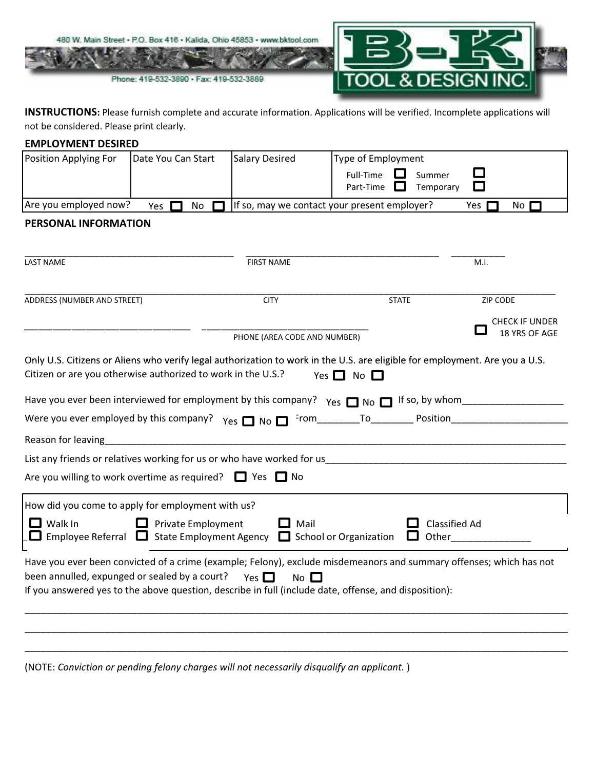

INSTRUCTIONS: Please furnish complete and accurate information. Applications will be verified. Incomplete applications will not be considered. Please print clearly.

| <b>EMPLOYMENT DESIRED</b>                                                                                                                                                                                                                                                                                                                                                                                                                                                                                                     |                    |                              |                                                                                                                                                                                                                              |                       |  |  |
|-------------------------------------------------------------------------------------------------------------------------------------------------------------------------------------------------------------------------------------------------------------------------------------------------------------------------------------------------------------------------------------------------------------------------------------------------------------------------------------------------------------------------------|--------------------|------------------------------|------------------------------------------------------------------------------------------------------------------------------------------------------------------------------------------------------------------------------|-----------------------|--|--|
| Position Applying For                                                                                                                                                                                                                                                                                                                                                                                                                                                                                                         | Date You Can Start | <b>Salary Desired</b>        | Type of Employment                                                                                                                                                                                                           |                       |  |  |
|                                                                                                                                                                                                                                                                                                                                                                                                                                                                                                                               |                    |                              | Full-Time<br>Summer<br>Temporary<br>Part-Time<br>ப                                                                                                                                                                           |                       |  |  |
| Are you employed now?                                                                                                                                                                                                                                                                                                                                                                                                                                                                                                         | Yes<br>No          |                              | If so, may we contact your present employer?                                                                                                                                                                                 | Yes [<br>No $\Gamma$  |  |  |
| PERSONAL INFORMATION                                                                                                                                                                                                                                                                                                                                                                                                                                                                                                          |                    |                              |                                                                                                                                                                                                                              |                       |  |  |
|                                                                                                                                                                                                                                                                                                                                                                                                                                                                                                                               |                    |                              |                                                                                                                                                                                                                              |                       |  |  |
| <b>LAST NAME</b>                                                                                                                                                                                                                                                                                                                                                                                                                                                                                                              |                    | <b>FIRST NAME</b>            |                                                                                                                                                                                                                              | M.I.                  |  |  |
|                                                                                                                                                                                                                                                                                                                                                                                                                                                                                                                               |                    |                              |                                                                                                                                                                                                                              |                       |  |  |
| ADDRESS (NUMBER AND STREET)                                                                                                                                                                                                                                                                                                                                                                                                                                                                                                   |                    | <b>CITY</b>                  | <b>STATE</b>                                                                                                                                                                                                                 | ZIP CODE              |  |  |
|                                                                                                                                                                                                                                                                                                                                                                                                                                                                                                                               |                    |                              |                                                                                                                                                                                                                              | <b>CHECK IF UNDER</b> |  |  |
|                                                                                                                                                                                                                                                                                                                                                                                                                                                                                                                               |                    | PHONE (AREA CODE AND NUMBER) |                                                                                                                                                                                                                              | 18 YRS OF AGE         |  |  |
| Citizen or are you otherwise authorized to work in the U.S.?<br>Yes $\Box$ No $\Box$<br>Have you ever been interviewed for employment by this company? $Y_{ES}$ $\Box$ No $\Box$ If so, by whom<br>Reason for leaving<br>List any friends or relatives working for us or who have worked for us with the control of the control of the control of the control of the control of the control of the control of the control of the control of the control<br>Are you willing to work overtime as required? $\Box$ Yes $\Box$ No |                    |                              |                                                                                                                                                                                                                              |                       |  |  |
| How did you come to apply for employment with us?                                                                                                                                                                                                                                                                                                                                                                                                                                                                             |                    |                              |                                                                                                                                                                                                                              |                       |  |  |
| $\Box$ Mail<br><b>Classified Ad</b><br>Walk In<br>$\Box$ Private Employment<br>$\Box$ Employee Referral $\Box$ State Employment Agency $\Box$ School or Organization<br>$\Box$ Other                                                                                                                                                                                                                                                                                                                                          |                    |                              |                                                                                                                                                                                                                              |                       |  |  |
| been annulled, expunged or sealed by a court? $\gamma_{es}$                                                                                                                                                                                                                                                                                                                                                                                                                                                                   |                    | $No$ $\square$               | Have you ever been convicted of a crime (example; Felony), exclude misdemeanors and summary offenses; which has not<br>If you answered yes to the above question, describe in full (include date, offense, and disposition): |                       |  |  |
|                                                                                                                                                                                                                                                                                                                                                                                                                                                                                                                               |                    |                              |                                                                                                                                                                                                                              |                       |  |  |

(NOTE: Conviction or pending felony charges will not necessarily disqualify an applicant. )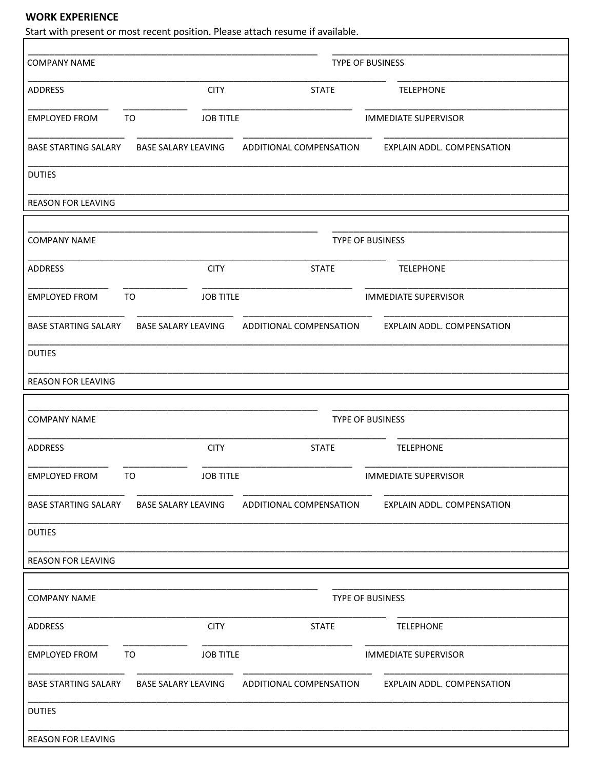## **WORK EXPERIENCE**

Start with present or most recent position. Please attach resume if available.

| <b>COMPANY NAME</b>         | TYPE OF BUSINESS              |             |                         |                                                                                             |  |  |
|-----------------------------|-------------------------------|-------------|-------------------------|---------------------------------------------------------------------------------------------|--|--|
| ADDRESS                     |                               | <b>CITY</b> | <b>STATE</b>            | <b>TELEPHONE</b>                                                                            |  |  |
| <b>EMPLOYED FROM</b>        | <b>JOB TITLE</b><br><b>TO</b> |             |                         | <b>IMMEDIATE SUPERVISOR</b>                                                                 |  |  |
|                             |                               |             |                         | BASE STARTING SALARY BASE SALARY LEAVING ADDITIONAL COMPENSATION EXPLAIN ADDL. COMPENSATION |  |  |
| <b>DUTIES</b>               |                               |             |                         |                                                                                             |  |  |
| <b>REASON FOR LEAVING</b>   |                               |             |                         |                                                                                             |  |  |
|                             |                               |             |                         |                                                                                             |  |  |
| <b>COMPANY NAME</b>         | TYPE OF BUSINESS              |             |                         |                                                                                             |  |  |
| ADDRESS                     |                               | <b>CITY</b> | <b>STATE</b>            | <b>TELEPHONE</b>                                                                            |  |  |
| <b>EMPLOYED FROM</b>        | <b>JOB TITLE</b><br>TO        |             |                         | <b>IMMEDIATE SUPERVISOR</b>                                                                 |  |  |
|                             |                               |             |                         | BASE STARTING SALARY BASE SALARY LEAVING ADDITIONAL COMPENSATION EXPLAIN ADDL. COMPENSATION |  |  |
| <b>DUTIES</b>               |                               |             |                         |                                                                                             |  |  |
| <b>REASON FOR LEAVING</b>   |                               |             |                         |                                                                                             |  |  |
|                             |                               |             |                         |                                                                                             |  |  |
| <b>COMPANY NAME</b>         | <b>TYPE OF BUSINESS</b>       |             |                         |                                                                                             |  |  |
| ADDRESS                     |                               | <b>CITY</b> | <b>STATE</b>            | <b>TELEPHONE</b>                                                                            |  |  |
| EMPLOYED FROM TO            | <b>JOB TITLE</b>              |             |                         | <b>IMMEDIATE SUPERVISOR</b>                                                                 |  |  |
| <b>BASE STARTING SALARY</b> | <b>BASE SALARY LEAVING</b>    |             | ADDITIONAL COMPENSATION | EXPLAIN ADDL. COMPENSATION                                                                  |  |  |
| <b>DUTIES</b>               |                               |             |                         |                                                                                             |  |  |
| <b>REASON FOR LEAVING</b>   |                               |             |                         |                                                                                             |  |  |
|                             |                               |             |                         |                                                                                             |  |  |
| <b>COMPANY NAME</b>         | TYPE OF BUSINESS              |             |                         |                                                                                             |  |  |
| <b>ADDRESS</b>              |                               | <b>CITY</b> | <b>STATE</b>            | <b>TELEPHONE</b>                                                                            |  |  |
| <b>EMPLOYED FROM</b>        | <b>JOB TITLE</b><br>TO        |             |                         | <b>IMMEDIATE SUPERVISOR</b>                                                                 |  |  |
| <b>BASE STARTING SALARY</b> | <b>BASE SALARY LEAVING</b>    |             | ADDITIONAL COMPENSATION | EXPLAIN ADDL. COMPENSATION                                                                  |  |  |
| <b>DUTIES</b>               |                               |             |                         |                                                                                             |  |  |
| REASON FOR LEAVING          |                               |             |                         |                                                                                             |  |  |